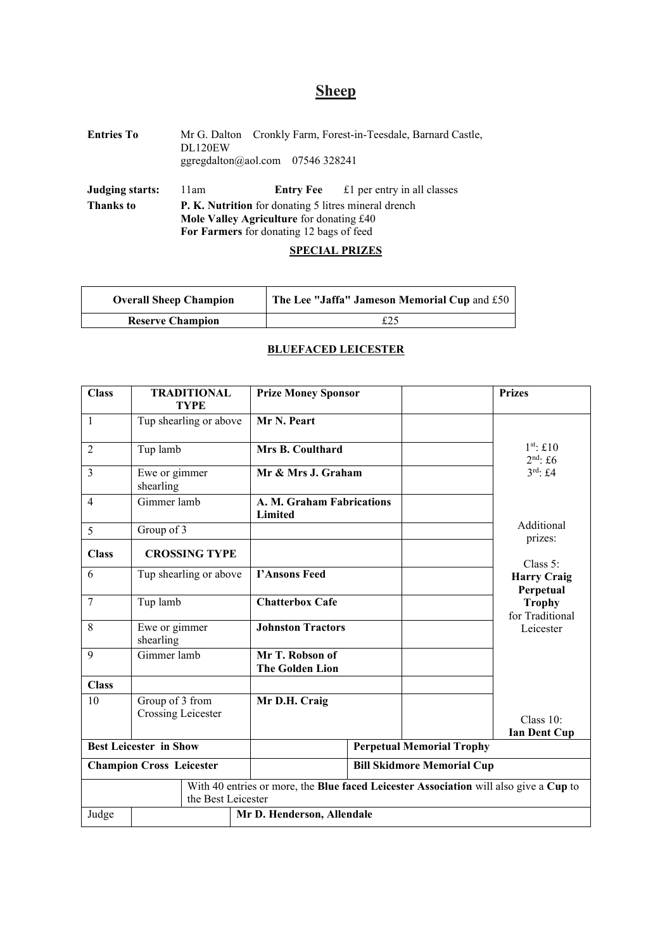# **Sheep**

| <b>Entries To</b>                          | DL120EW<br>ggregdalton@aol.com $07546328241$                                                                                                                | Mr G. Dalton Cronkly Farm, Forest-in-Teesdale, Barnard Castle, |
|--------------------------------------------|-------------------------------------------------------------------------------------------------------------------------------------------------------------|----------------------------------------------------------------|
| <b>Judging starts:</b><br><b>Thanks to</b> | 11am<br><b>P. K. Nutrition</b> for donating 5 litres mineral drench<br>Mole Valley Agriculture for donating £40<br>For Farmers for donating 12 bags of feed | <b>Entry Fee</b> $\qquad$ £1 per entry in all classes          |

# **SPECIAL PRIZES**

| <b>Overall Sheep Champion</b> | The Lee "Jaffa" Jameson Memorial Cup and £50 |
|-------------------------------|----------------------------------------------|
| <b>Reserve Champion</b>       | £25                                          |

| <b>Class</b>                    | <b>TRADITIONAL</b><br><b>TYPE</b>     | <b>Prize Money Sponsor</b>                                                            | <b>Prizes</b>                    |
|---------------------------------|---------------------------------------|---------------------------------------------------------------------------------------|----------------------------------|
| $\mathbf{1}$                    | Tup shearling or above                | Mr N. Peart                                                                           |                                  |
| 2                               | Tup lamb                              | Mrs B. Coulthard                                                                      | $1st$ : £10<br>$2nd$ : £6        |
| 3                               | Ewe or gimmer<br>shearling            | Mr & Mrs J. Graham                                                                    | $3^{\text{rd}}$ : £4             |
| 4                               | Gimmer lamb                           | A. M. Graham Fabrications<br>Limited                                                  |                                  |
| 5                               | Group of 3                            |                                                                                       | Additional<br>prizes:            |
| <b>Class</b>                    | <b>CROSSING TYPE</b>                  |                                                                                       | Class 5:                         |
| 6                               | Tup shearling or above                | <b>T'Ansons Feed</b>                                                                  | <b>Harry Craig</b><br>Perpetual  |
| 7                               | Tup lamb                              | <b>Chatterbox Cafe</b>                                                                | <b>Trophy</b><br>for Traditional |
| 8                               | Ewe or gimmer<br>shearling            | <b>Johnston Tractors</b>                                                              | Leicester                        |
| 9                               | Gimmer lamb                           | Mr T. Robson of<br><b>The Golden Lion</b>                                             |                                  |
| <b>Class</b>                    |                                       |                                                                                       |                                  |
| 10                              | Group of 3 from<br>Crossing Leicester | Mr D.H. Craig                                                                         | Class 10:<br><b>Ian Dent Cup</b> |
| <b>Best Leicester in Show</b>   |                                       | <b>Perpetual Memorial Trophy</b>                                                      |                                  |
| <b>Champion Cross Leicester</b> |                                       | <b>Bill Skidmore Memorial Cup</b>                                                     |                                  |
|                                 | the Best Leicester                    | With 40 entries or more, the Blue faced Leicester Association will also give a Cup to |                                  |
| Judge                           |                                       | Mr D. Henderson, Allendale                                                            |                                  |

## **BLUEFACED LEICESTER**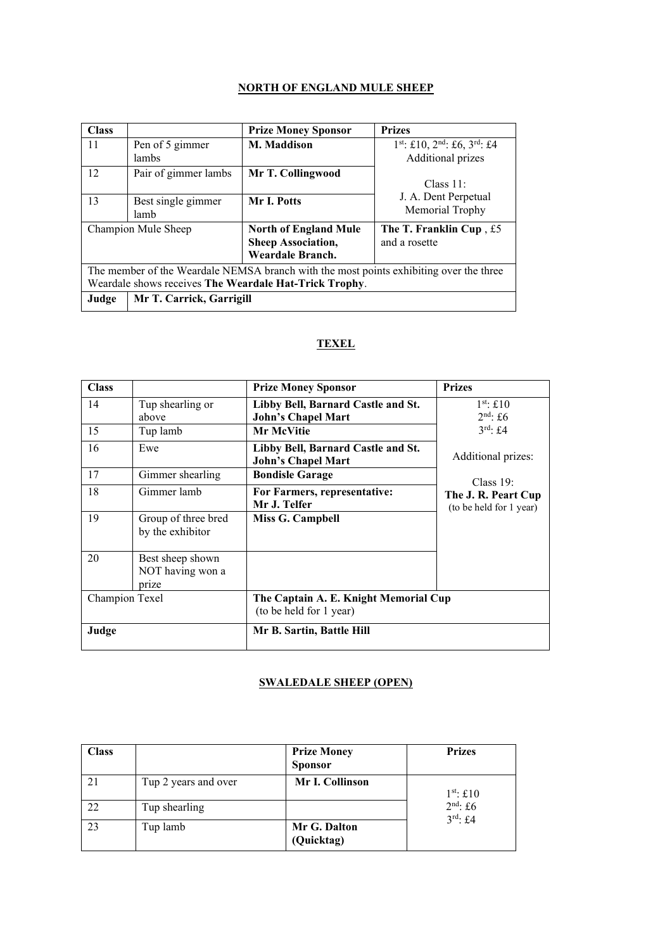## **NORTH OF ENGLAND MULE SHEEP**

| <b>Class</b>                                                                           |                                                     | <b>Prize Money Sponsor</b> | <b>Prizes</b>                                |
|----------------------------------------------------------------------------------------|-----------------------------------------------------|----------------------------|----------------------------------------------|
| 11                                                                                     | Pen of 5 gimmer                                     | M. Maddison                | $1^{st}$ : £10, $2^{nd}$ : £6, $3^{rd}$ : £4 |
|                                                                                        | lambs                                               |                            | Additional prizes                            |
| 12                                                                                     | Pair of gimmer lambs                                | Mr T. Collingwood          |                                              |
|                                                                                        |                                                     |                            | Class $11$ :                                 |
| 13                                                                                     | Best single gimmer                                  | Mr I. Potts                | J. A. Dent Perpetual                         |
|                                                                                        | lamb                                                |                            | Memorial Trophy                              |
|                                                                                        | Champion Mule Sheep<br><b>North of England Mule</b> |                            | The T. Franklin Cup, $£5$                    |
|                                                                                        |                                                     | <b>Sheep Association,</b>  | and a rosette                                |
|                                                                                        |                                                     | Weardale Branch.           |                                              |
| The member of the Weardale NEMSA branch with the most points exhibiting over the three |                                                     |                            |                                              |
| Weardale shows receives The Weardale Hat-Trick Trophy.                                 |                                                     |                            |                                              |
| Mr T. Carrick, Garrigill<br>Judge                                                      |                                                     |                            |                                              |

# **TEXEL**

| <b>Class</b>   |                                               | <b>Prize Money Sponsor</b>                                       | <b>Prizes</b>                                  |
|----------------|-----------------------------------------------|------------------------------------------------------------------|------------------------------------------------|
| 14             | Tup shearling or<br>above                     | Libby Bell, Barnard Castle and St.<br><b>John's Chapel Mart</b>  | $1st$ : £10<br>$2nd$ : £6                      |
| 15             | Tup lamb                                      | <b>Mr McVitie</b>                                                | $3^{\text{rd}}$ : £4                           |
| 16             | Ewe                                           | Libby Bell, Barnard Castle and St.<br><b>John's Chapel Mart</b>  | Additional prizes:                             |
| 17             | Gimmer shearling                              | <b>Bondisle Garage</b>                                           | Class $19$ :                                   |
| 18             | Gimmer lamb                                   | For Farmers, representative:<br>Mr J. Telfer                     | The J. R. Peart Cup<br>(to be held for 1 year) |
| 19             | Group of three bred<br>by the exhibitor       | Miss G. Campbell                                                 |                                                |
| 20             | Best sheep shown<br>NOT having won a<br>prize |                                                                  |                                                |
| Champion Texel |                                               | The Captain A. E. Knight Memorial Cup<br>(to be held for 1 year) |                                                |
| Judge          |                                               | Mr B. Sartin, Battle Hill                                        |                                                |

## **SWALEDALE SHEEP (OPEN)**

| Class |                      | <b>Prize Money</b><br><b>Sponsor</b> | <b>Prizes</b>                      |
|-------|----------------------|--------------------------------------|------------------------------------|
| 21    | Tup 2 years and over | Mr I. Collinson                      | $1st$ : £10                        |
| 22    | Tup shearling        |                                      | $2nd$ : £6<br>$3^{\text{rd}}$ : £4 |
| 23    | Tup lamb             | Mr G. Dalton<br>(Quicktag)           |                                    |